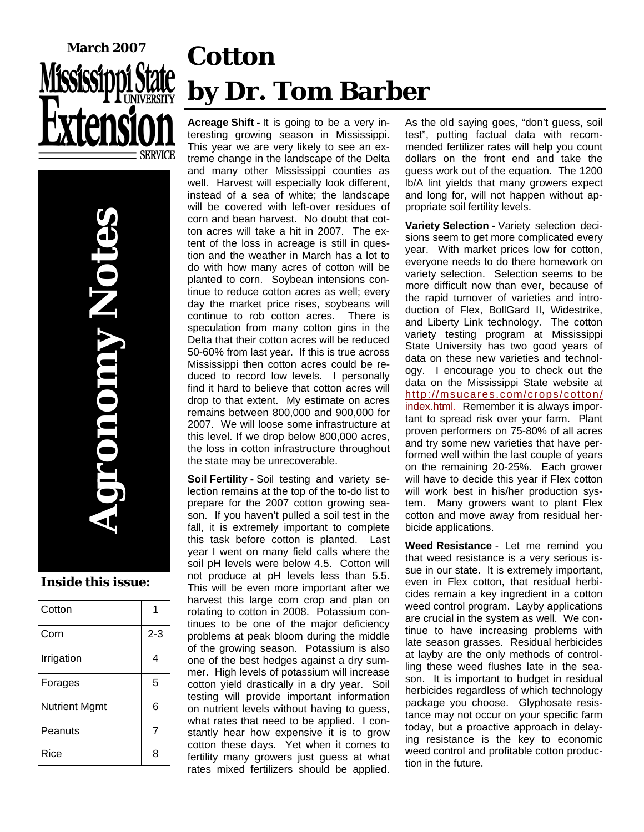

**Agronomy Notes OnOmy P** 

#### **Inside this issue:**

| Cotton               |         |
|----------------------|---------|
| Corn                 | $2 - 3$ |
| Irrigation           | 4       |
| Forages              | 5       |
| <b>Nutrient Mgmt</b> | 6       |
| Peanuts              | 7       |
| Rice                 | 8       |

# **Cotton by Dr. Tom Barber**

**Acreage Shift -** It is going to be a very interesting growing season in Mississippi. This year we are very likely to see an extreme change in the landscape of the Delta and many other Mississippi counties as well. Harvest will especially look different, instead of a sea of white; the landscape will be covered with left-over residues of corn and bean harvest. No doubt that cotton acres will take a hit in 2007. The extent of the loss in acreage is still in question and the weather in March has a lot to do with how many acres of cotton will be planted to corn. Soybean intensions continue to reduce cotton acres as well; every day the market price rises, soybeans will continue to rob cotton acres. There is speculation from many cotton gins in the Delta that their cotton acres will be reduced 50-60% from last year. If this is true across Mississippi then cotton acres could be reduced to record low levels. I personally find it hard to believe that cotton acres will drop to that extent. My estimate on acres remains between 800,000 and 900,000 for 2007. We will loose some infrastructure at this level. If we drop below 800,000 acres, the loss in cotton infrastructure throughout the state may be unrecoverable.

**Soil Fertility -** Soil testing and variety selection remains at the top of the to-do list to prepare for the 2007 cotton growing season. If you haven't pulled a soil test in the fall, it is extremely important to complete this task before cotton is planted. Last year I went on many field calls where the soil pH levels were below 4.5. Cotton will not produce at pH levels less than 5.5. This will be even more important after we harvest this large corn crop and plan on rotating to cotton in 2008. Potassium continues to be one of the major deficiency problems at peak bloom during the middle of the growing season. Potassium is also one of the best hedges against a dry summer. High levels of potassium will increase cotton yield drastically in a dry year. Soil testing will provide important information on nutrient levels without having to guess, what rates that need to be applied. I constantly hear how expensive it is to grow cotton these days. Yet when it comes to fertility many growers just guess at what rates mixed fertilizers should be applied.

As the old saying goes, "don't guess, soil test", putting factual data with recommended fertilizer rates will help you count dollars on the front end and take the guess work out of the equation. The 1200 lb/A lint yields that many growers expect and long for, will not happen without appropriate soil fertility levels.

**Variety Selection -** Variety selection decisions seem to get more complicated every year. With market prices low for cotton, everyone needs to do there homework on variety selection. Selection seems to be more difficult now than ever, because of the rapid turnover of varieties and introduction of Flex, BollGard II, Widestrike, and Liberty Link technology. The cotton variety testing program at Mississippi State University has two good years of data on these new varieties and technology. I encourage you to check out the data on the Mississippi State website at http://msucares.com/crops/cotton/ index.html. Remember it is always important to spread risk over your farm. Plant proven performers on 75-80% of all acres and try some new varieties that have performed well within the last couple of years on the remaining 20-25%. Each grower will have to decide this year if Flex cotton will work best in his/her production system. Many growers want to plant Flex cotton and move away from residual herbicide applications.

**Weed Resistance** - Let me remind you that weed resistance is a very serious issue in our state. It is extremely important, even in Flex cotton, that residual herbicides remain a key ingredient in a cotton weed control program. Layby applications are crucial in the system as well. We continue to have increasing problems with late season grasses. Residual herbicides at layby are the only methods of controlling these weed flushes late in the season. It is important to budget in residual herbicides regardless of which technology package you choose. Glyphosate resistance may not occur on your specific farm today, but a proactive approach in delaying resistance is the key to economic weed control and profitable cotton production in the future.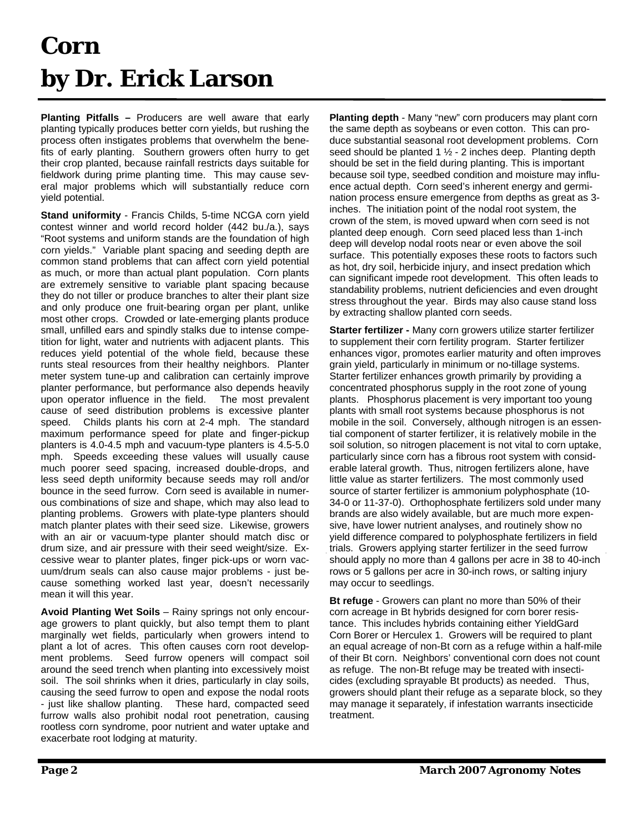### **Corn by Dr. Erick Larson**

**Planting Pitfalls –** Producers are well aware that early planting typically produces better corn yields, but rushing the process often instigates problems that overwhelm the benefits of early planting. Southern growers often hurry to get their crop planted, because rainfall restricts days suitable for fieldwork during prime planting time. This may cause several major problems which will substantially reduce corn yield potential.

**Stand uniformity** - Francis Childs, 5-time NCGA corn yield contest winner and world record holder (442 bu./a.), says "Root systems and uniform stands are the foundation of high corn yields." Variable plant spacing and seeding depth are common stand problems that can affect corn yield potential as much, or more than actual plant population. Corn plants are extremely sensitive to variable plant spacing because they do not tiller or produce branches to alter their plant size and only produce one fruit-bearing organ per plant, unlike most other crops. Crowded or late-emerging plants produce small, unfilled ears and spindly stalks due to intense competition for light, water and nutrients with adjacent plants. This reduces yield potential of the whole field, because these runts steal resources from their healthy neighbors. Planter meter system tune-up and calibration can certainly improve planter performance, but performance also depends heavily upon operator influence in the field. The most prevalent cause of seed distribution problems is excessive planter speed. Childs plants his corn at 2-4 mph. The standard maximum performance speed for plate and finger-pickup planters is 4.0-4.5 mph and vacuum-type planters is 4.5-5.0 mph. Speeds exceeding these values will usually cause much poorer seed spacing, increased double-drops, and less seed depth uniformity because seeds may roll and/or bounce in the seed furrow. Corn seed is available in numerous combinations of size and shape, which may also lead to planting problems. Growers with plate-type planters should match planter plates with their seed size. Likewise, growers with an air or vacuum-type planter should match disc or drum size, and air pressure with their seed weight/size. Excessive wear to planter plates, finger pick-ups or worn vacuum/drum seals can also cause major problems - just because something worked last year, doesn't necessarily mean it will this year.

**Avoid Planting Wet Soils** – Rainy springs not only encourage growers to plant quickly, but also tempt them to plant marginally wet fields, particularly when growers intend to plant a lot of acres. This often causes corn root development problems. Seed furrow openers will compact soil around the seed trench when planting into excessively moist soil. The soil shrinks when it dries, particularly in clay soils, causing the seed furrow to open and expose the nodal roots - just like shallow planting. These hard, compacted seed furrow walls also prohibit nodal root penetration, causing rootless corn syndrome, poor nutrient and water uptake and exacerbate root lodging at maturity.

**Planting depth** - Many "new" corn producers may plant corn the same depth as soybeans or even cotton. This can produce substantial seasonal root development problems. Corn seed should be planted 1  $\frac{1}{2}$  - 2 inches deep. Planting depth should be set in the field during planting. This is important because soil type, seedbed condition and moisture may influence actual depth. Corn seed's inherent energy and germination process ensure emergence from depths as great as 3 inches. The initiation point of the nodal root system, the crown of the stem, is moved upward when corn seed is not planted deep enough. Corn seed placed less than 1-inch deep will develop nodal roots near or even above the soil surface. This potentially exposes these roots to factors such as hot, dry soil, herbicide injury, and insect predation which can significant impede root development. This often leads to standability problems, nutrient deficiencies and even drought stress throughout the year. Birds may also cause stand loss by extracting shallow planted corn seeds.

**Starter fertilizer -** Many corn growers utilize starter fertilizer to supplement their corn fertility program. Starter fertilizer enhances vigor, promotes earlier maturity and often improves grain yield, particularly in minimum or no-tillage systems. Starter fertilizer enhances growth primarily by providing a concentrated phosphorus supply in the root zone of young plants. Phosphorus placement is very important too young plants with small root systems because phosphorus is not mobile in the soil. Conversely, although nitrogen is an essential component of starter fertilizer, it is relatively mobile in the soil solution, so nitrogen placement is not vital to corn uptake, particularly since corn has a fibrous root system with considerable lateral growth. Thus, nitrogen fertilizers alone, have little value as starter fertilizers. The most commonly used source of starter fertilizer is ammonium polyphosphate (10- 34-0 or 11-37-0). Orthophosphate fertilizers sold under many brands are also widely available, but are much more expensive, have lower nutrient analyses, and routinely show no yield difference compared to polyphosphate fertilizers in field trials. Growers applying starter fertilizer in the seed furrow should apply no more than 4 gallons per acre in 38 to 40-inch rows or 5 gallons per acre in 30-inch rows, or salting injury may occur to seedlings.

**Bt refuge** - Growers can plant no more than 50% of their corn acreage in Bt hybrids designed for corn borer resistance. This includes hybrids containing either YieldGard Corn Borer or Herculex 1. Growers will be required to plant an equal acreage of non-Bt corn as a refuge within a half-mile of their Bt corn. Neighbors' conventional corn does not count as refuge. The non-Bt refuge may be treated with insecticides (excluding sprayable Bt products) as needed. Thus, growers should plant their refuge as a separate block, so they may manage it separately, if infestation warrants insecticide treatment.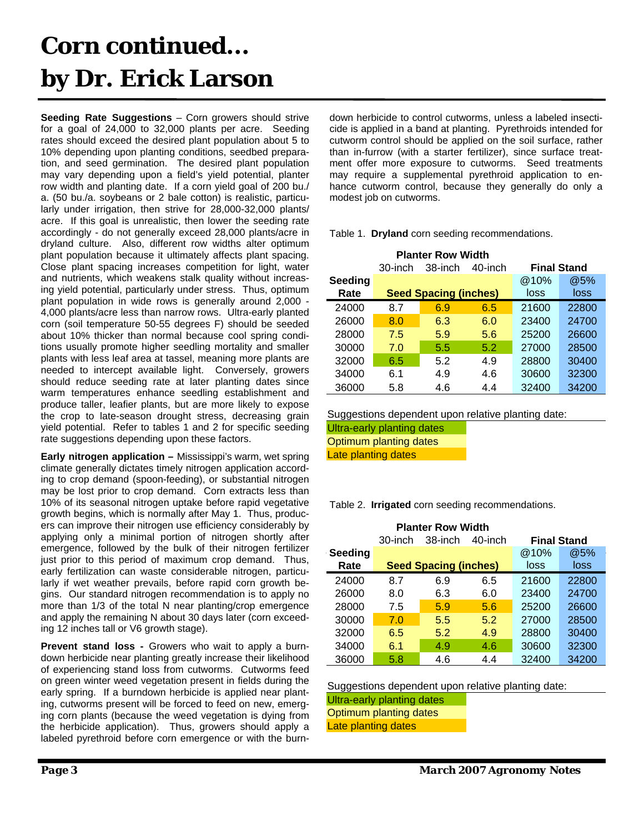### **Corn continued... by Dr. Erick Larson**

**Seeding Rate Suggestions** – Corn growers should strive for a goal of 24,000 to 32,000 plants per acre. Seeding rates should exceed the desired plant population about 5 to 10% depending upon planting conditions, seedbed preparation, and seed germination. The desired plant population may vary depending upon a field's yield potential, planter row width and planting date. If a corn yield goal of 200 bu./ a. (50 bu./a. soybeans or 2 bale cotton) is realistic, particularly under irrigation, then strive for 28,000-32,000 plants/ acre. If this goal is unrealistic, then lower the seeding rate accordingly - do not generally exceed 28,000 plants/acre in dryland culture. Also, different row widths alter optimum plant population because it ultimately affects plant spacing. Close plant spacing increases competition for light, water and nutrients, which weakens stalk quality without increasing yield potential, particularly under stress. Thus, optimum plant population in wide rows is generally around 2,000 - 4,000 plants/acre less than narrow rows. Ultra-early planted corn (soil temperature 50-55 degrees F) should be seeded about 10% thicker than normal because cool spring conditions usually promote higher seedling mortality and smaller plants with less leaf area at tassel, meaning more plants are needed to intercept available light. Conversely, growers should reduce seeding rate at later planting dates since warm temperatures enhance seedling establishment and produce taller, leafier plants, but are more likely to expose the crop to late-season drought stress, decreasing grain yield potential. Refer to tables 1 and 2 for specific seeding rate suggestions depending upon these factors.

**Early nitrogen application –** Mississippi's warm, wet spring climate generally dictates timely nitrogen application according to crop demand (spoon-feeding), or substantial nitrogen may be lost prior to crop demand. Corn extracts less than 10% of its seasonal nitrogen uptake before rapid vegetative growth begins, which is normally after May 1. Thus, producers can improve their nitrogen use efficiency considerably by applying only a minimal portion of nitrogen shortly after emergence, followed by the bulk of their nitrogen fertilizer just prior to this period of maximum crop demand. Thus, early fertilization can waste considerable nitrogen, particularly if wet weather prevails, before rapid corn growth begins. Our standard nitrogen recommendation is to apply no more than 1/3 of the total N near planting/crop emergence and apply the remaining N about 30 days later (corn exceeding 12 inches tall or V6 growth stage).

**Prevent stand loss -** Growers who wait to apply a burndown herbicide near planting greatly increase their likelihood of experiencing stand loss from cutworms. Cutworms feed on green winter weed vegetation present in fields during the early spring. If a burndown herbicide is applied near planting, cutworms present will be forced to feed on new, emerging corn plants (because the weed vegetation is dying from the herbicide application). Thus, growers should apply a labeled pyrethroid before corn emergence or with the burndown herbicide to control cutworms, unless a labeled insecticide is applied in a band at planting. Pyrethroids intended for cutworm control should be applied on the soil surface, rather than in-furrow (with a starter fertilizer), since surface treatment offer more exposure to cutworms. Seed treatments may require a supplemental pyrethroid application to enhance cutworm control, because they generally do only a modest job on cutworms.

Table 1. **Dryland** corn seeding recommendations.

| <b>Planter Row Width</b> |         |                              |         |                    |       |
|--------------------------|---------|------------------------------|---------|--------------------|-------|
|                          | 30-inch | 38-inch                      | 40-inch | <b>Final Stand</b> |       |
| Seeding                  |         |                              |         | @10%               | @5%   |
| Rate                     |         | <b>Seed Spacing (inches)</b> |         | loss               | loss  |
| 24000                    | 8.7     | 6.9                          | 6.5     | 21600              | 22800 |
| 26000                    | 8.0     | 6.3                          | 6.0     | 23400              | 24700 |
| 28000                    | 7.5     | 5.9                          | 5.6     | 25200              | 26600 |
| 30000                    | 7.0     | 5.5                          | 5.2     | 27000              | 28500 |
| 32000                    | 6.5     | 5.2                          | 4.9     | 28800              | 30400 |
| 34000                    | 6.1     | 4.9                          | 4.6     | 30600              | 32300 |
| 36000                    | 5.8     | 4.6                          | 4.4     | 32400              | 34200 |

Suggestions dependent upon relative planting date:

Ultra-early planting dates

Optimum planting dates Late planting dates

Table 2. **Irrigated** corn seeding recommendations.

| <b>Planter Row Width</b> |         |                              |         |                    |       |
|--------------------------|---------|------------------------------|---------|--------------------|-------|
|                          | 30-inch | 38-inch                      | 40-inch | <b>Final Stand</b> |       |
| Seeding                  |         |                              |         | @10%               | @5%   |
| Rate                     |         | <b>Seed Spacing (inches)</b> |         | loss               | loss  |
| 24000                    | 8.7     | 6.9                          | 6.5     | 21600              | 22800 |
| 26000                    | 8.0     | 6.3                          | 6.0     | 23400              | 24700 |
| 28000                    | 7.5     | 5.9                          | 5.6     | 25200              | 26600 |
| 30000                    | 7.0     | 5.5                          | 5.2     | 27000              | 28500 |
| 32000                    | 6.5     | 5.2                          | 4.9     | 28800              | 30400 |
| 34000                    | 6.1     | 4.9                          | 4.6     | 30600              | 32300 |
| 36000                    | 5.8     | 4.6                          | 4.4     | 32400              | 34200 |

Suggestions dependent upon relative planting date:

Ultra-early planting dates

Optimum planting dates

Late planting dates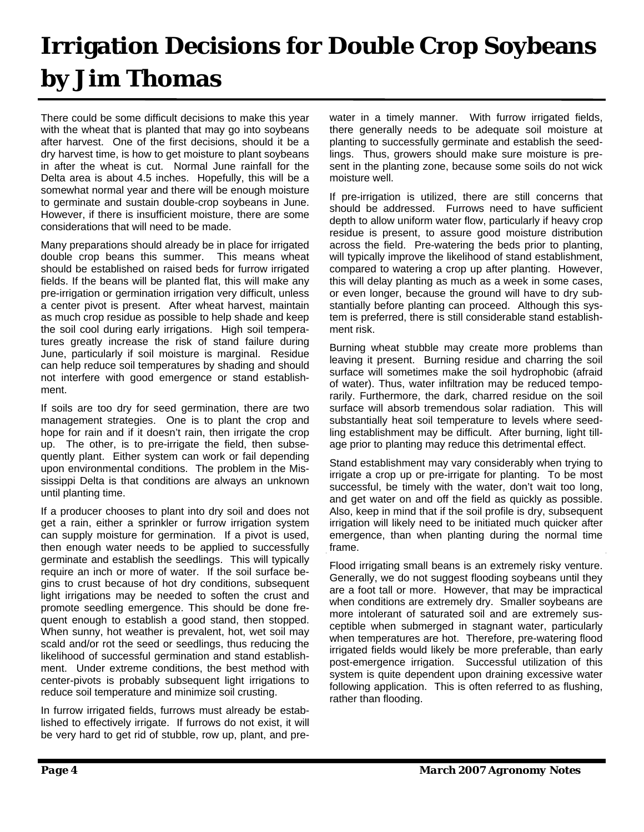### **Irrigation Decisions for Double Crop Soybeans by Jim Thomas**

There could be some difficult decisions to make this year with the wheat that is planted that may go into soybeans after harvest. One of the first decisions, should it be a dry harvest time, is how to get moisture to plant soybeans in after the wheat is cut. Normal June rainfall for the Delta area is about 4.5 inches. Hopefully, this will be a somewhat normal year and there will be enough moisture to germinate and sustain double-crop soybeans in June. However, if there is insufficient moisture, there are some considerations that will need to be made.

Many preparations should already be in place for irrigated double crop beans this summer. This means wheat should be established on raised beds for furrow irrigated fields. If the beans will be planted flat, this will make any pre-irrigation or germination irrigation very difficult, unless a center pivot is present. After wheat harvest, maintain as much crop residue as possible to help shade and keep the soil cool during early irrigations. High soil temperatures greatly increase the risk of stand failure during June, particularly if soil moisture is marginal. Residue can help reduce soil temperatures by shading and should not interfere with good emergence or stand establishment.

If soils are too dry for seed germination, there are two management strategies. One is to plant the crop and hope for rain and if it doesn't rain, then irrigate the crop up. The other, is to pre-irrigate the field, then subsequently plant. Either system can work or fail depending upon environmental conditions. The problem in the Mississippi Delta is that conditions are always an unknown until planting time.

If a producer chooses to plant into dry soil and does not get a rain, either a sprinkler or furrow irrigation system can supply moisture for germination. If a pivot is used, then enough water needs to be applied to successfully germinate and establish the seedlings. This will typically require an inch or more of water. If the soil surface begins to crust because of hot dry conditions, subsequent light irrigations may be needed to soften the crust and promote seedling emergence. This should be done frequent enough to establish a good stand, then stopped. When sunny, hot weather is prevalent, hot, wet soil may scald and/or rot the seed or seedlings, thus reducing the likelihood of successful germination and stand establishment. Under extreme conditions, the best method with center-pivots is probably subsequent light irrigations to reduce soil temperature and minimize soil crusting.

In furrow irrigated fields, furrows must already be established to effectively irrigate. If furrows do not exist, it will be very hard to get rid of stubble, row up, plant, and prewater in a timely manner. With furrow irrigated fields, there generally needs to be adequate soil moisture at planting to successfully germinate and establish the seedlings. Thus, growers should make sure moisture is present in the planting zone, because some soils do not wick moisture well.

If pre-irrigation is utilized, there are still concerns that should be addressed. Furrows need to have sufficient depth to allow uniform water flow, particularly if heavy crop residue is present, to assure good moisture distribution across the field. Pre-watering the beds prior to planting, will typically improve the likelihood of stand establishment, compared to watering a crop up after planting. However, this will delay planting as much as a week in some cases, or even longer, because the ground will have to dry substantially before planting can proceed. Although this system is preferred, there is still considerable stand establishment risk.

Burning wheat stubble may create more problems than leaving it present. Burning residue and charring the soil surface will sometimes make the soil hydrophobic (afraid of water). Thus, water infiltration may be reduced temporarily. Furthermore, the dark, charred residue on the soil surface will absorb tremendous solar radiation. This will substantially heat soil temperature to levels where seedling establishment may be difficult. After burning, light tillage prior to planting may reduce this detrimental effect.

Stand establishment may vary considerably when trying to irrigate a crop up or pre-irrigate for planting. To be most successful, be timely with the water, don't wait too long, and get water on and off the field as quickly as possible. Also, keep in mind that if the soil profile is dry, subsequent irrigation will likely need to be initiated much quicker after emergence, than when planting during the normal time frame.

Flood irrigating small beans is an extremely risky venture. Generally, we do not suggest flooding soybeans until they are a foot tall or more. However, that may be impractical when conditions are extremely dry. Smaller soybeans are more intolerant of saturated soil and are extremely susceptible when submerged in stagnant water, particularly when temperatures are hot. Therefore, pre-watering flood irrigated fields would likely be more preferable, than early post-emergence irrigation. Successful utilization of this system is quite dependent upon draining excessive water following application. This is often referred to as flushing, rather than flooding.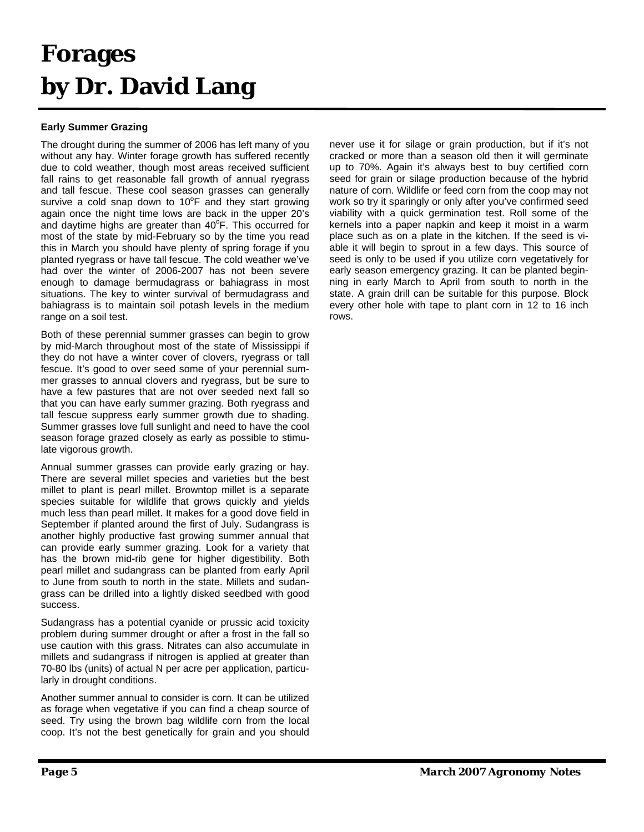### **Forages by Dr. David Lang**

#### **Early Summer Grazing**

The drought during the summer of 2006 has left many of you without any hay. Winter forage growth has suffered recently due to cold weather, though most areas received sufficient fall rains to get reasonable fall growth of annual ryegrass and tall fescue. These cool season grasses can generally survive a cold snap down to 10 $\degree$ F and they start growing again once the night time lows are back in the upper 20's and daytime highs are greater than  $40^{\circ}$ F. This occurred for most of the state by mid-February so by the time you read this in March you should have plenty of spring forage if you planted ryegrass or have tall fescue. The cold weather we've had over the winter of 2006-2007 has not been severe enough to damage bermudagrass or bahiagrass in most situations. The key to winter survival of bermudagrass and bahiagrass is to maintain soil potash levels in the medium range on a soil test.

Both of these perennial summer grasses can begin to grow by mid-March throughout most of the state of Mississippi if they do not have a winter cover of clovers, ryegrass or tall fescue. It's good to over seed some of your perennial summer grasses to annual clovers and ryegrass, but be sure to have a few pastures that are not over seeded next fall so that you can have early summer grazing. Both ryegrass and tall fescue suppress early summer growth due to shading. Summer grasses love full sunlight and need to have the cool season forage grazed closely as early as possible to stimulate vigorous growth.

Annual summer grasses can provide early grazing or hay. There are several millet species and varieties but the best millet to plant is pearl millet. Browntop millet is a separate species suitable for wildlife that grows quickly and yields much less than pearl millet. It makes for a good dove field in September if planted around the first of July. Sudangrass is another highly productive fast growing summer annual that can provide early summer grazing. Look for a variety that has the brown mid-rib gene for higher digestibility. Both pearl millet and sudangrass can be planted from early April to June from south to north in the state. Millets and sudangrass can be drilled into a lightly disked seedbed with good success.

Sudangrass has a potential cyanide or prussic acid toxicity problem during summer drought or after a frost in the fall so use caution with this grass. Nitrates can also accumulate in millets and sudangrass if nitrogen is applied at greater than 70-80 lbs (units) of actual N per acre per application, particularly in drought conditions.

Another summer annual to consider is corn. It can be utilized as forage when vegetative if you can find a cheap source of seed. Try using the brown bag wildlife corn from the local coop. It's not the best genetically for grain and you should

never use it for silage or grain production, but if it's not cracked or more than a season old then it will germinate up to 70%. Again it's always best to buy certified corn seed for grain or silage production because of the hybrid nature of corn. Wildlife or feed corn from the coop may not work so try it sparingly or only after you've confirmed seed viability with a quick germination test. Roll some of the kernels into a paper napkin and keep it moist in a warm place such as on a plate in the kitchen. If the seed is viable it will begin to sprout in a few days. This source of seed is only to be used if you utilize corn vegetatively for early season emergency grazing. It can be planted beginning in early March to April from south to north in the state. A grain drill can be suitable for this purpose. Block every other hole with tape to plant corn in 12 to 16 inch rows.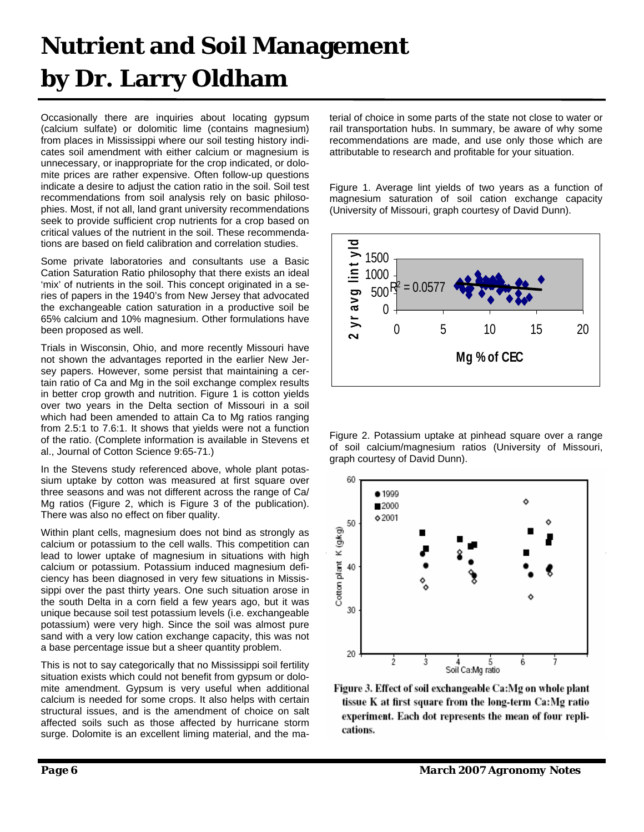### **Nutrient and Soil Management by Dr. Larry Oldham**

Occasionally there are inquiries about locating gypsum (calcium sulfate) or dolomitic lime (contains magnesium) from places in Mississippi where our soil testing history indicates soil amendment with either calcium or magnesium is unnecessary, or inappropriate for the crop indicated, or dolomite prices are rather expensive. Often follow-up questions indicate a desire to adjust the cation ratio in the soil. Soil test recommendations from soil analysis rely on basic philosophies. Most, if not all, land grant university recommendations seek to provide sufficient crop nutrients for a crop based on critical values of the nutrient in the soil. These recommendations are based on field calibration and correlation studies.

Some private laboratories and consultants use a Basic Cation Saturation Ratio philosophy that there exists an ideal 'mix' of nutrients in the soil. This concept originated in a series of papers in the 1940's from New Jersey that advocated the exchangeable cation saturation in a productive soil be 65% calcium and 10% magnesium. Other formulations have been proposed as well.

Trials in Wisconsin, Ohio, and more recently Missouri have not shown the advantages reported in the earlier New Jersey papers. However, some persist that maintaining a certain ratio of Ca and Mg in the soil exchange complex results in better crop growth and nutrition. Figure 1 is cotton yields over two years in the Delta section of Missouri in a soil which had been amended to attain Ca to Mg ratios ranging from 2.5:1 to 7.6:1. It shows that yields were not a function of the ratio. (Complete information is available in Stevens et al., Journal of Cotton Science 9:65-71.)

In the Stevens study referenced above, whole plant potassium uptake by cotton was measured at first square over three seasons and was not different across the range of Ca/ Mg ratios (Figure 2, which is Figure 3 of the publication). There was also no effect on fiber quality.

Within plant cells, magnesium does not bind as strongly as calcium or potassium to the cell walls. This competition can lead to lower uptake of magnesium in situations with high calcium or potassium. Potassium induced magnesium deficiency has been diagnosed in very few situations in Mississippi over the past thirty years. One such situation arose in the south Delta in a corn field a few years ago, but it was unique because soil test potassium levels (i.e. exchangeable potassium) were very high. Since the soil was almost pure sand with a very low cation exchange capacity, this was not a base percentage issue but a sheer quantity problem.

This is not to say categorically that no Mississippi soil fertility situation exists which could not benefit from gypsum or dolomite amendment. Gypsum is very useful when additional calcium is needed for some crops. It also helps with certain structural issues, and is the amendment of choice on salt affected soils such as those affected by hurricane storm surge. Dolomite is an excellent liming material, and the material of choice in some parts of the state not close to water or rail transportation hubs. In summary, be aware of why some recommendations are made, and use only those which are attributable to research and profitable for your situation.

Figure 1. Average lint yields of two years as a function of magnesium saturation of soil cation exchange capacity (University of Missouri, graph courtesy of David Dunn).



Figure 2. Potassium uptake at pinhead square over a range of soil calcium/magnesium ratios (University of Missouri, graph courtesy of David Dunn).



Figure 3. Effect of soil exchangeable Ca:Mg on whole plant tissue K at first square from the long-term Ca:Mg ratio experiment. Each dot represents the mean of four replications.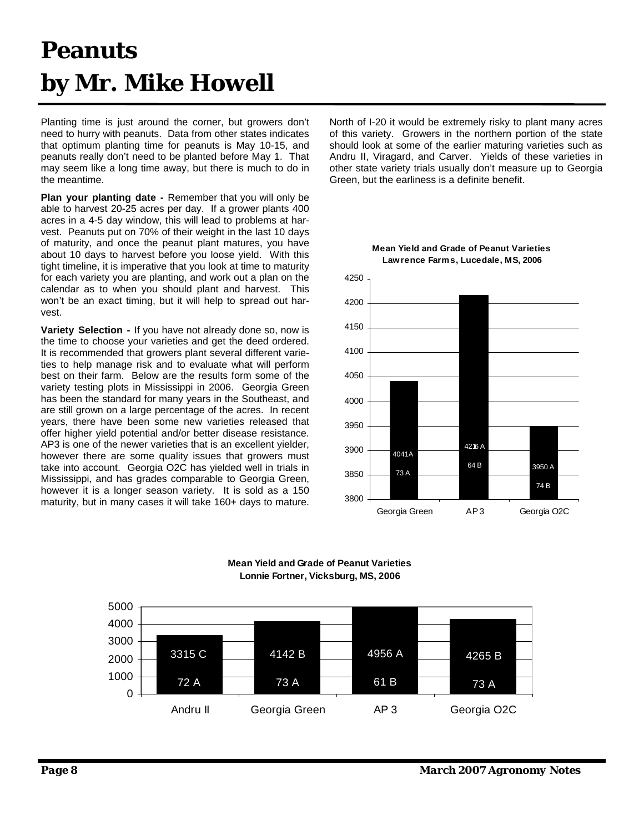### **Peanuts by Mr. Mike Howell**

Planting time is just around the corner, but growers don't need to hurry with peanuts. Data from other states indicates that optimum planting time for peanuts is May 10-15, and peanuts really don't need to be planted before May 1. That may seem like a long time away, but there is much to do in the meantime.

**Plan your planting date -** Remember that you will only be able to harvest 20-25 acres per day. If a grower plants 400 acres in a 4-5 day window, this will lead to problems at harvest. Peanuts put on 70% of their weight in the last 10 days of maturity, and once the peanut plant matures, you have about 10 days to harvest before you loose yield. With this tight timeline, it is imperative that you look at time to maturity for each variety you are planting, and work out a plan on the calendar as to when you should plant and harvest. This won't be an exact timing, but it will help to spread out harvest.

**Variety Selection -** If you have not already done so, now is the time to choose your varieties and get the deed ordered. It is recommended that growers plant several different varieties to help manage risk and to evaluate what will perform best on their farm. Below are the results form some of the variety testing plots in Mississippi in 2006. Georgia Green has been the standard for many years in the Southeast, and are still grown on a large percentage of the acres. In recent years, there have been some new varieties released that offer higher yield potential and/or better disease resistance. AP3 is one of the newer varieties that is an excellent yielder, however there are some quality issues that growers must take into account. Georgia O2C has yielded well in trials in Mississippi, and has grades comparable to Georgia Green, however it is a longer season variety. It is sold as a 150 maturity, but in many cases it will take 160+ days to mature.

North of I-20 it would be extremely risky to plant many acres of this variety. Growers in the northern portion of the state should look at some of the earlier maturing varieties such as Andru II, Viragard, and Carver. Yields of these varieties in other state variety trials usually don't measure up to Georgia Green, but the earliness is a definite benefit.



#### **Mean Yield and Grade of Peanut Varieties Lonnie Fortner, Vicksburg, MS, 2006**